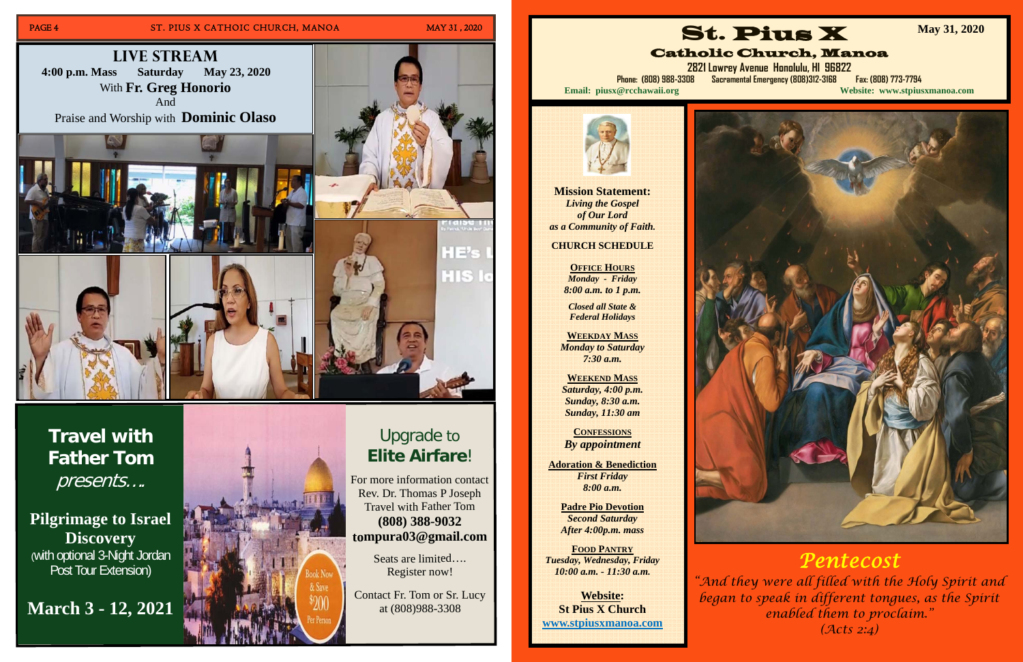## PAGE 4 ST. PIUS X CATHOIC CHURCH, MANOA MAY 31, 2020

## Upgrade to **EliteAirfare**!

For more information contact R e v. D r. T h o m as P J ose p h Travel with Father Tom **(8 08) 3 8 8-9 0 3 2 t o mp u r a 0 3 @ g m ail.c o m**

> Seats are limited.... Register now!

Contact Fr. Tom or Sr. Lucy at (8 0 8)9 8 8-3 3 0 8

**Travel with Father Tom**  presents….

**Pilgrimage to Israel Discovery** (with optional 3-Night Jordan Post Tour Extension)

## **March 3 - 12, 2021**





**Mission Statement:**  *Living the Gospel of Our Lord as a Community of Faith.* 

**CHURCH SCHEDULE** 

**OFFICE HOURS** *Monday - Friday 8:00 a.m. to 1 p.m.* 

*Closed all State & Federal Holidays* 

**WEEKDAY MASS** *Monday to Saturday 7:30 a.m.* 

**WEEKEND MASS***Saturday, 4:00 p.m. Sunday, 8:30 a.m. Sunday, 11:30 am* 

**CONFESSIONS** *By appointment* 

**Adoration & Benediction**  *First Friday 8:00 a.m.* 

**Padre Pio Devotion**  *Second Saturday After 4:00p.m. mass* 

**FOOD PANTRY** *Tuesday, Wednesday, Friday 10:00 a.m. - 11:30 a.m.* 

**Website: St Pius X Church www.stpiusxmanoa.com** 



Catholic Church, Manoa **2821 Lowrey Avenue Honolulu, HI 96822 Phone: (808) 988-3308 Sacramental Emergency (808)312-3168 Fax: (808) 773-7794 Email: piusx@rcchawaii.org Website: www.stpiusxmanoa.com**



**May 31, 2020** 



## *Pentecost*

*"And they were all filled with the Holy Spirit and began to speak in different tongues, as the Spirit enabled them to proclaim." (Acts 2:4)*